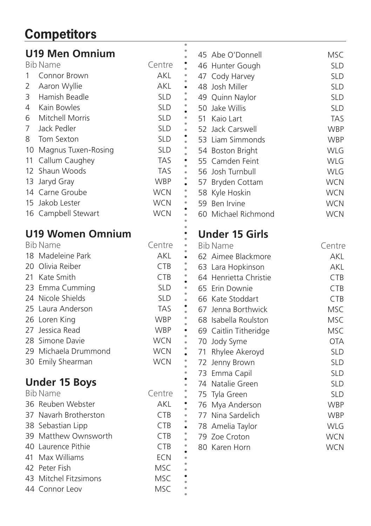## **Competitors**

| <b>U19 Men Omnium</b>   |            |           | 45 Abe O'Donnell      | <b>MSC</b> |
|-------------------------|------------|-----------|-----------------------|------------|
| <b>Bib Name</b>         | Centre     |           | 46 Hunter Gough       | <b>SLD</b> |
| Connor Brown<br>1       | AKL        |           | 47 Cody Harvey        | <b>SLD</b> |
| 2<br>Aaron Wyllie       | <b>AKL</b> |           | 48 Josh Miller        | <b>SLD</b> |
| Hamish Beadle<br>3      | <b>SLD</b> |           | 49 Quinn Naylor       | <b>SLD</b> |
| Kain Bowles<br>4        | <b>SLD</b> |           | 50 Jake Willis        | <b>SLD</b> |
| Mitchell Morris<br>6    | <b>SLD</b> |           | 51 Kaio Lart          | <b>TAS</b> |
| 7<br>Jack Pedler        | <b>SLD</b> |           | 52 Jack Carswell      | <b>WBP</b> |
| 8<br>Tom Sexton         | <b>SLD</b> |           | 53 Liam Simmonds      | <b>WBP</b> |
| 10 Magnus Tuxen-Rosing  | <b>SLD</b> |           | 54 Boston Bright      | <b>WLG</b> |
| 11 Callum Caughey       | <b>TAS</b> |           | 55 Camden Feint       | <b>WLG</b> |
| 12 Shaun Woods          | <b>TAS</b> |           | 56 Josh Turnbull      | <b>WLG</b> |
| 13 Jaryd Gray           | <b>WBP</b> |           | 57 Bryden Cottam      | <b>WCN</b> |
| 14 Carne Groube         | <b>WCN</b> |           | 58 Kyle Hoskin        | <b>WCN</b> |
| 15 Jakob Lester         | <b>WCN</b> |           | 59 Ben Irvine         | <b>WCN</b> |
| 16 Campbell Stewart     | <b>WCN</b> |           | 60 Michael Richmond   | <b>WCN</b> |
| <b>U19 Women Omnium</b> |            |           | <b>Under 15 Girls</b> |            |
| Bib Name                | Centre     |           | <b>Bib Name</b>       | Centre     |
| 18 Madeleine Park       | AKL        |           | 62 Aimee Blackmore    | AKL        |
| 20 Olivia Reiber        | <b>CTB</b> |           | 63 Lara Hopkinson     | <b>AKL</b> |
| 21 Kate Smith           | <b>CTB</b> |           | 64 Henrietta Christie | <b>CTB</b> |
| 23 Emma Cumming         | <b>SLD</b> |           | 65 Erin Downie        | <b>CTB</b> |
| 24 Nicole Shields       | <b>SLD</b> |           | 66 Kate Stoddart      | <b>CTB</b> |
| 25 Laura Anderson       | <b>TAS</b> |           | 67 Jenna Borthwick    | <b>MSC</b> |
| 26 Loren King           | <b>WBP</b> |           | 68 Isabella Roulston  | <b>MSC</b> |
| 27 Jessica Read         | <b>WBP</b> | $\bullet$ | 69 Caitlin Titheridge | <b>MSC</b> |
| 28 Simone Davie         | <b>WCN</b> |           | 70 Jody Syme          | <b>OTA</b> |
| 29 Michaela Drummond    | <b>WCN</b> |           | 71 Rhylee Akeroyd     | <b>SLD</b> |
| 30 Emily Shearman       | <b>WCN</b> |           | 72 Jenny Brown        | <b>SLD</b> |
|                         |            |           | 73 Emma Capil         | <b>SLD</b> |
| <b>Under 15 Boys</b>    |            |           | 74 Natalie Green      | <b>SLD</b> |
| <b>Bib Name</b>         | Centre     |           | 75 Tyla Green         | <b>SLD</b> |
| 36 Reuben Webster       | AKL        |           | 76 Mya Anderson       | <b>WBP</b> |
| 37 Navarh Brotherston   | <b>CTB</b> | $\bullet$ | 77 Nina Sardelich     | <b>WBP</b> |
| 38 Sebastian Lipp       | <b>CTB</b> | $\bullet$ | 78 Amelia Taylor      | <b>WLG</b> |
| 39 Matthew Ownsworth    | <b>CTB</b> |           | 79 Zoe Croton         | <b>WCN</b> |
| 40 Laurence Pithie      | <b>CTB</b> |           | 80 Karen Horn         | <b>WCN</b> |
| 41 Max Williams         | <b>ECN</b> |           |                       |            |
| 42 Peter Fish           | <b>MSC</b> |           |                       |            |
| 43 Mitchel Fitzsimons   | <b>MSC</b> |           |                       |            |
| 44 Connor Leov          | <b>MSC</b> |           |                       |            |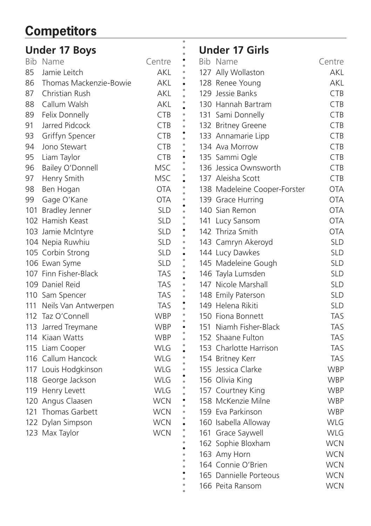## **Competitors**

|    | <b>Under 17 Boys</b>    |            |           | <b>Under 17 Girls</b>        |            |
|----|-------------------------|------------|-----------|------------------------------|------------|
|    | Bib Name                | Centre     |           | Bib Name                     | Centre     |
| 85 | Jamie Leitch            | AKL        |           | 127 Ally Wollaston           | <b>AKL</b> |
| 86 | Thomas Mackenzie-Bowie  | <b>AKL</b> |           | 128 Renee Young              | <b>AKL</b> |
| 87 | Christian Rush          | AKL        |           | 129 Jessie Banks             | <b>CTB</b> |
| 88 | Callum Walsh            | AKL        |           | 130 Hannah Bartram           | <b>CTB</b> |
| 89 | Felix Donnelly          | <b>CTB</b> |           | 131 Sami Donnelly            | <b>CTB</b> |
| 91 | Jarred Pidcock          | <b>CTB</b> |           | 132 Britney Greene           | CTB        |
| 93 | Griffyn Spencer         | CTB        |           | 133 Annamarie Lipp           | CTB        |
| 94 | Jono Stewart            | <b>CTB</b> |           | 134 Ava Morrow               | <b>CTB</b> |
| 95 | Liam Taylor             | <b>CTB</b> |           | 135 Sammi Ogle               | <b>CTB</b> |
| 96 | Bailey O'Donnell        | MSC.       |           | 136 Jessica Ownsworth        | <b>CTB</b> |
| 97 | Henry Smith             | MSC.       |           | 137 Aleisha Scott            | <b>CTB</b> |
| 98 | Ben Hogan               | <b>OTA</b> |           | 138 Madeleine Cooper-Forster | <b>OTA</b> |
| 99 | Gage O'Kane             | <b>OTA</b> |           | 139 Grace Hurring            | <b>OTA</b> |
|    | 101 Bradley Jenner      | <b>SLD</b> |           | 140 Sian Remon               | <b>OTA</b> |
|    | 102 Hamish Keast        | <b>SLD</b> |           | 141 Lucy Sansom              | <b>OTA</b> |
|    | 103 Jamie McIntyre      | <b>SLD</b> | ٠         | 142 Thriza Smith             | <b>OTA</b> |
|    | 104 Nepia Ruwhiu        | <b>SLD</b> |           | 143 Camryn Akeroyd           | <b>SLD</b> |
|    | 105 Corbin Strong       | <b>SLD</b> |           | 144 Lucy Dawkes              | <b>SLD</b> |
|    | 106 Ewan Syme           | <b>SLD</b> |           | 145 Madeleine Gough          | <b>SLD</b> |
|    | 107 Finn Fisher-Black   | <b>TAS</b> |           | 146 Tayla Lumsden            | <b>SLD</b> |
|    | 109 Daniel Reid         | TAS        |           | 147 Nicole Marshall          | <b>SLD</b> |
|    | 110 Sam Spencer         | <b>TAS</b> |           | 148 Emily Paterson           | <b>SLD</b> |
|    | 111 Neils Van Antwerpen | <b>TAS</b> |           | 149 Helena Rikiti            | <b>SLD</b> |
|    | 112 Taz O'Connell       | <b>WBP</b> |           | 150 Fiona Bonnett            | <b>TAS</b> |
|    | 113 Jarred Treymane     | <b>WBP</b> | $\bullet$ | 151 Niamh Fisher-Black       | <b>TAS</b> |
|    | 114 Kiaan Watts         | <b>WBP</b> |           | 152 Shaane Fulton            | <b>TAS</b> |
|    | 115 Liam Cooper         | WLG        |           | 153 Charlotte Harrison       | <b>TAS</b> |
|    | 116 Callum Hancock      | <b>WLG</b> |           | 154 Britney Kerr             | <b>TAS</b> |
|    | 117 Louis Hodgkinson    | <b>WLG</b> |           | 155 Jessica Clarke           | <b>WBP</b> |
|    | 118 George Jackson      | <b>WLG</b> |           | 156 Olivia King              | <b>WBP</b> |
|    | 119 Henry Levett        | WLG        |           | 157 Courtney King            | <b>WBP</b> |
|    | 120 Angus Claasen       | <b>WCN</b> | $\bullet$ | 158 McKenzie Milne           | <b>WBP</b> |
|    | 121 Thomas Garbett      | <b>WCN</b> |           | 159 Eva Parkinson            | <b>WBP</b> |
|    | 122 Dylan Simpson       | <b>WCN</b> |           | 160 Isabella Alloway         | <b>WLG</b> |
|    | 123 Max Taylor          | <b>WCN</b> |           | 161 Grace Saywell            | <b>WLG</b> |
|    |                         |            |           | 162 Sophie Bloxham           | <b>WCN</b> |
|    |                         |            |           | 163 Amy Horn                 | <b>WCN</b> |
|    |                         |            |           | 164 Connie O'Brien           | <b>WCN</b> |
|    |                         |            |           | 165 Dannielle Porteous       | <b>WCN</b> |
|    |                         |            |           | 166 Peita Ransom             | <b>WCN</b> |